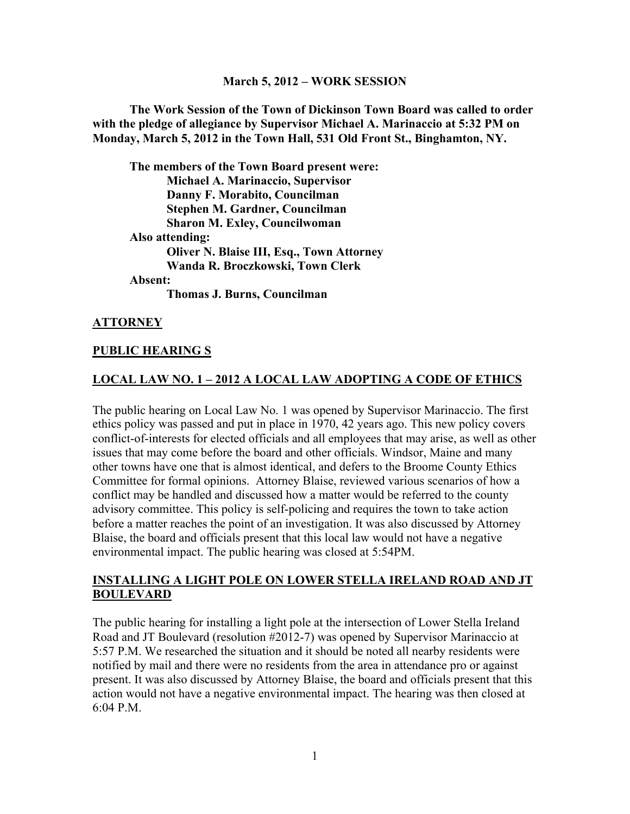#### **March 5, 2012 – WORK SESSION**

**The Work Session of the Town of Dickinson Town Board was called to order with the pledge of allegiance by Supervisor Michael A. Marinaccio at 5:32 PM on Monday, March 5, 2012 in the Town Hall, 531 Old Front St., Binghamton, NY.**

**The members of the Town Board present were: Michael A. Marinaccio, Supervisor Danny F. Morabito, Councilman Stephen M. Gardner, Councilman Sharon M. Exley, Councilwoman Also attending: Oliver N. Blaise III, Esq., Town Attorney Wanda R. Broczkowski, Town Clerk Absent:**

**Thomas J. Burns, Councilman**

### **ATTORNEY**

### **PUBLIC HEARING S**

### **LOCAL LAW NO. 1 – 2012 A LOCAL LAW ADOPTING A CODE OF ETHICS**

The public hearing on Local Law No. 1 was opened by Supervisor Marinaccio. The first ethics policy was passed and put in place in 1970, 42 years ago. This new policy covers conflict-of-interests for elected officials and all employees that may arise, as well as other issues that may come before the board and other officials. Windsor, Maine and many other towns have one that is almost identical, and defers to the Broome County Ethics Committee for formal opinions. Attorney Blaise, reviewed various scenarios of how a conflict may be handled and discussed how a matter would be referred to the county advisory committee. This policy is self-policing and requires the town to take action before a matter reaches the point of an investigation. It was also discussed by Attorney Blaise, the board and officials present that this local law would not have a negative environmental impact. The public hearing was closed at 5:54PM.

### **INSTALLING A LIGHT POLE ON LOWER STELLA IRELAND ROAD AND JT BOULEVARD**

The public hearing for installing a light pole at the intersection of Lower Stella Ireland Road and JT Boulevard (resolution #2012-7) was opened by Supervisor Marinaccio at 5:57 P.M. We researched the situation and it should be noted all nearby residents were notified by mail and there were no residents from the area in attendance pro or against present. It was also discussed by Attorney Blaise, the board and officials present that this action would not have a negative environmental impact. The hearing was then closed at 6:04 P.M.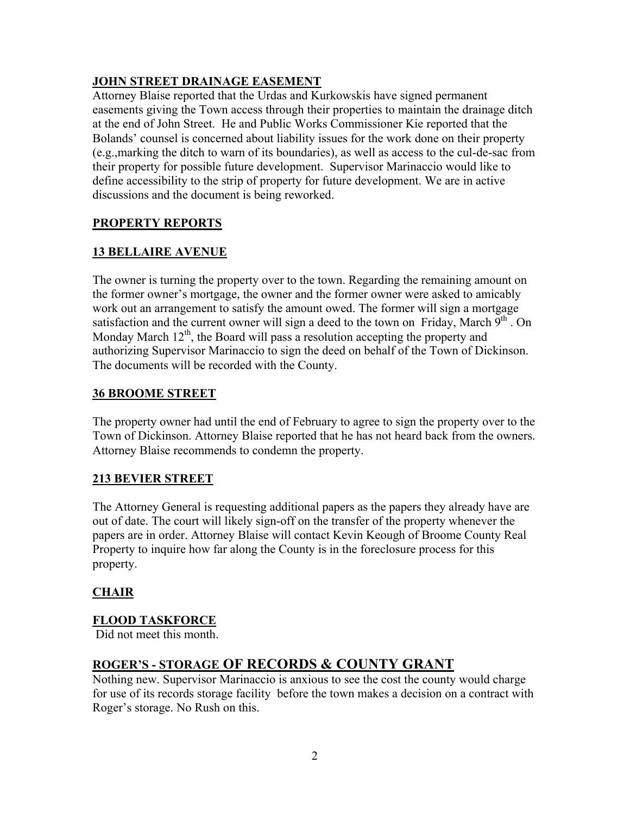# **JOHN STREET DRAINAGE EASEMENT**

Attorney Blaise reported that the Urdas and Kurkowskis have signed permanent easements giving the Town access through their properties to maintain the drainage ditch at the end of John Street. He and Public Works Commissioner Kie reported that the Bolands' counsel is concerned about liability issues for the work done on their property (e.g.,marking the ditch to warn of its boundaries), as well as access to the cul-de-sac from their property for possible future development. Supervisor Marinaccio would like to define accessibility to the strip of property for future development. We are in active discussions and the document is being reworked.

# **PROPERTY REPORTS**

## **13 BELLAIRE AVENUE**

The owner is turning the property over to the town. Regarding the remaining amount on the former owner's mortgage, the owner and the former owner were asked to amicably work out an arrangement to satisfy the amount owed. The former will sign a mortgage satisfaction and the current owner will sign a deed to the town on Friday, March  $9<sup>th</sup>$ . On Monday March  $12<sup>th</sup>$ , the Board will pass a resolution accepting the property and authorizing Supervisor Marinaccio to sign the deed on behalf of the Town of Dickinson. The documents will be recorded with the County.

## **36 BROOME STREET**

The property owner had until the end of February to agree to sign the property over to the Town of Dickinson. Attorney Blaise reported that he has not heard back from the owners. Attorney Blaise recommends to condemn the property.

# **213 BEVIER STREET**

The Attorney General is requesting additional papers as the papers they already have are out of date. The court will likely sign-off on the transfer of the property whenever the papers are in order. Attorney Blaise will contact Kevin Keough of Broome County Real Property to inquire how far along the County is in the foreclosure process for this property.

# **CHAIR**

### **FLOOD TASKFORCE**

Did not meet this month.

# **ROGER'S - STORAGE OF RECORDS & COUNTY GRANT**

Nothing new. Supervisor Marinaccio is anxious to see the cost the county would charge for use of its records storage facility before the town makes a decision on a contract with Roger's storage. No Rush on this.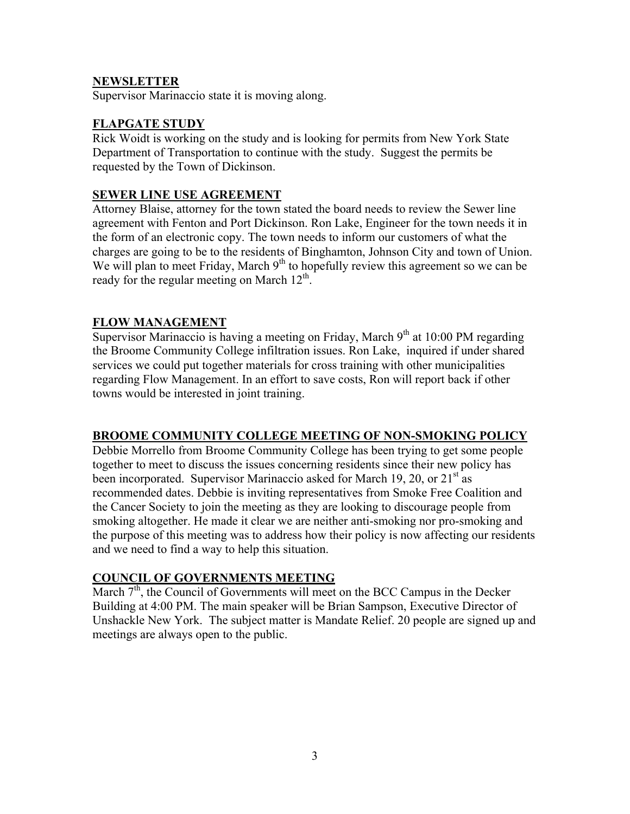### **NEWSLETTER**

Supervisor Marinaccio state it is moving along.

### **FLAPGATE STUDY**

Rick Woidt is working on the study and is looking for permits from New York State Department of Transportation to continue with the study. Suggest the permits be requested by the Town of Dickinson.

### **SEWER LINE USE AGREEMENT**

Attorney Blaise, attorney for the town stated the board needs to review the Sewer line agreement with Fenton and Port Dickinson. Ron Lake, Engineer for the town needs it in the form of an electronic copy. The town needs to inform our customers of what the charges are going to be to the residents of Binghamton, Johnson City and town of Union. We will plan to meet Friday, March  $9<sup>th</sup>$  to hopefully review this agreement so we can be ready for the regular meeting on March 12<sup>th</sup>.

### **FLOW MANAGEMENT**

Supervisor Marinaccio is having a meeting on Friday, March  $9<sup>th</sup>$  at 10:00 PM regarding the Broome Community College infiltration issues. Ron Lake, inquired if under shared services we could put together materials for cross training with other municipalities regarding Flow Management. In an effort to save costs, Ron will report back if other towns would be interested in joint training.

### **BROOME COMMUNITY COLLEGE MEETING OF NON-SMOKING POLICY**

Debbie Morrello from Broome Community College has been trying to get some people together to meet to discuss the issues concerning residents since their new policy has been incorporated. Supervisor Marinaccio asked for March 19, 20, or 21<sup>st</sup> as recommended dates. Debbie is inviting representatives from Smoke Free Coalition and the Cancer Society to join the meeting as they are looking to discourage people from smoking altogether. He made it clear we are neither anti-smoking nor pro-smoking and the purpose of this meeting was to address how their policy is now affecting our residents and we need to find a way to help this situation.

### **COUNCIL OF GOVERNMENTS MEETING**

March  $7<sup>th</sup>$ , the Council of Governments will meet on the BCC Campus in the Decker Building at 4:00 PM. The main speaker will be Brian Sampson, Executive Director of Unshackle New York. The subject matter is Mandate Relief. 20 people are signed up and meetings are always open to the public.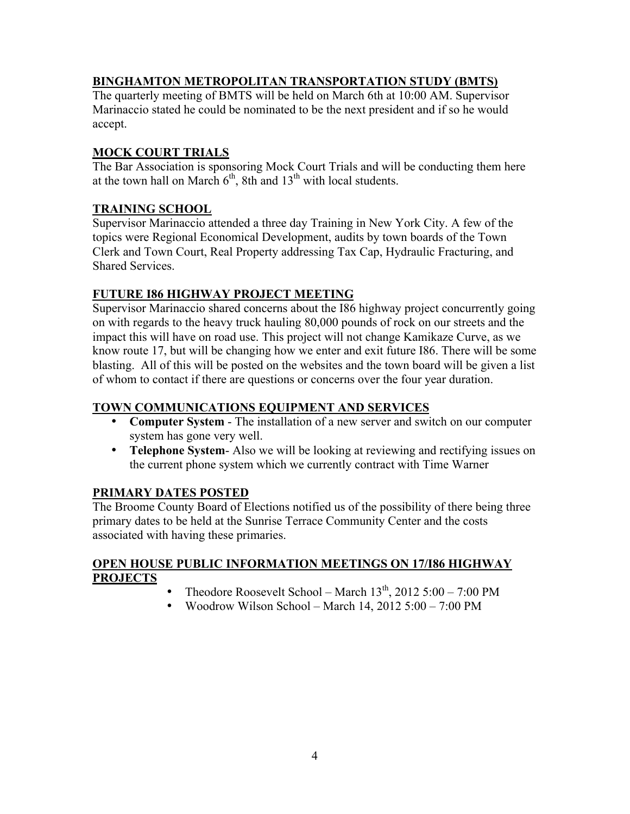## **BINGHAMTON METROPOLITAN TRANSPORTATION STUDY (BMTS)**

The quarterly meeting of BMTS will be held on March 6th at 10:00 AM. Supervisor Marinaccio stated he could be nominated to be the next president and if so he would accept.

## **MOCK COURT TRIALS**

The Bar Association is sponsoring Mock Court Trials and will be conducting them here at the town hall on March  $6<sup>th</sup>$ , 8th and 13<sup>th</sup> with local students.

## **TRAINING SCHOOL**

Supervisor Marinaccio attended a three day Training in New York City. A few of the topics were Regional Economical Development, audits by town boards of the Town Clerk and Town Court, Real Property addressing Tax Cap, Hydraulic Fracturing, and Shared Services.

## **FUTURE I86 HIGHWAY PROJECT MEETING**

Supervisor Marinaccio shared concerns about the I86 highway project concurrently going on with regards to the heavy truck hauling 80,000 pounds of rock on our streets and the impact this will have on road use. This project will not change Kamikaze Curve, as we know route 17, but will be changing how we enter and exit future I86. There will be some blasting. All of this will be posted on the websites and the town board will be given a list of whom to contact if there are questions or concerns over the four year duration.

## **TOWN COMMUNICATIONS EQUIPMENT AND SERVICES**

- **Computer System** The installation of a new server and switch on our computer system has gone very well.
- **Telephone System** Also we will be looking at reviewing and rectifying issues on the current phone system which we currently contract with Time Warner

### **PRIMARY DATES POSTED**

The Broome County Board of Elections notified us of the possibility of there being three primary dates to be held at the Sunrise Terrace Community Center and the costs associated with having these primaries.

### **OPEN HOUSE PUBLIC INFORMATION MEETINGS ON 17/I86 HIGHWAY PROJECTS**

- Theodore Roosevelt School March  $13<sup>th</sup>$ , 2012 5:00 7:00 PM
- Woodrow Wilson School March 14, 2012 5:00 7:00 PM